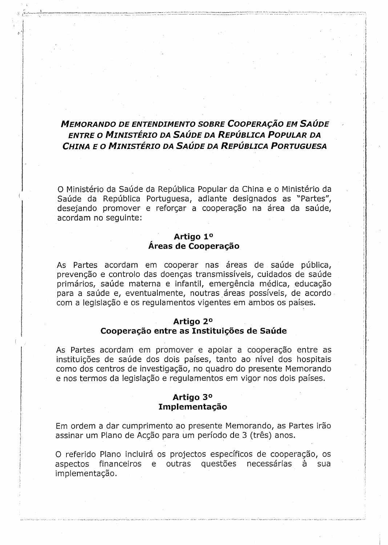# **MEMORANDO DE ENTENDIMENTO SOBRE COOPERAÇÃO EM SAÚDE** *ENTRE* **0** *MINISTERIO DA SAUDE DA REPUBLICA POPULAR DA CHINA EO MINISTERIO DA SAUDE DA REPUBLICA PORTUGUESA*

O Ministério da Saúde da República Popular da China e o Ministério da Saúde da República Portuguesa, adiante designados as "Partes", desejando promover e reforcar a cooperação na área da saúde, acordam no seguinte:

# **Artigo 1° Areas de** cooperacao

As Partes acordam em cooperar nas áreas de saúde pública, prevenção e controlo das doenças transmissíveis, cuidados de saúde primários, saúde materna e infantil, emergência médica, educação para a saúde e, eventualmente, noutras áreas possíveis, de acordo com a legislação e os regulamentos vigentes em ambos os países.

## **Artigo 2°**

# cooperacao **entre as** tnstttutcces **de Saude**

As Partes acordam em promover e apoiar a cooperação entre as instituições de saúde dos dois países, tanto ao nível dos hospitais como dos centros de investigação, no quadro do presente Memorando e nos termos da legislação e regulamentos em vigor nos dois países.

I<br>I<br>I desember 1980<br>I desember 1980

International Control of the Control of Texas and Control of Texas and Control of Texas and Control of Texas a<br>The Control of Texas and Control of Texas and Control of Texas and Control of Texas and Control of Texas and T } 1 !<br>!<br>! i !

# **Artigo 3°** Implementação

Em ordem a dar cumprimento ao presente Memorando, as Partes irão assinar um Plano de Acção para um período de 3 (três) anos.

O referido Plano incluirá os projectos específicos de cooperação, os aspectos e financeiros e outras questões necessárias à sua aspectos financeiros e outras questões necessárias implementação.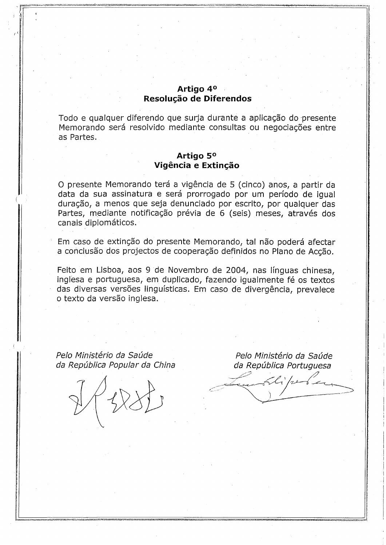# **Artigo 4°** Resolucao **de Diferendos**

Todo e qualquer diferendo que surja durante a aplicação do presente Memorando será resolvido mediante consultas ou negociações entre as Partes.

# **Artigo 5° Vigência e Extinção**

O presente Memorando terá a vigência de 5 (cinco) anos, a partir da data da sua assinatura e será prorrogado por um período de igual duração, a menos que seja denunciado por escrito, por qualquer das Partes, mediante notificação prévia de 6 (seis) meses, através dos canais diplomáticos.

Em caso de extinção do presente Memorando, tal não poderá afectar a conclusão dos projectos de cooperação definidos no Plano de Acção.

Feito em Lisboa, aos 9 de Novembro de 2004, nas Ifnguas chinesa, inglesa e portuguesa, em duplicado, fazendo igualmente fé os textos das diversas versões linguísticas. Em caso de divergência, prevalece o texto da versão inglesa.

Pelo Ministério da Saúde da República Popular da China

*r* I

Pelo Ministério da Saúde da República Portuguesa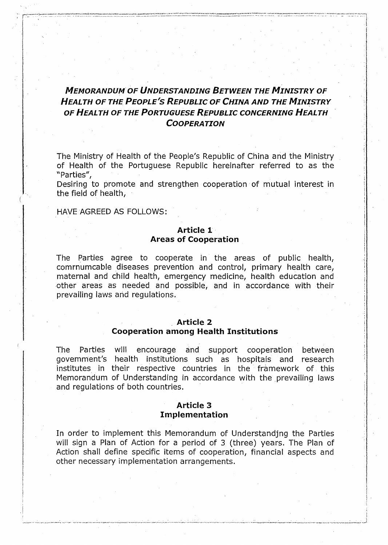# *MEMORANDUM OF UNDERSTANDING BETWEEN THE MINISTRY OF HEALTH OF THE PEOPLE'S REPUBLICOF CHINA AND THE MINISTRY OF HEALTH OF THE PORTUGUESE REPUBLIC CONCERNING HEALTH COOPERATION*

The Ministry of Health of the People's Republic of China and the Ministry of Health of the Portuguese Republic hereinafter referred to as the "Parties",

Desiring to promote and strengthen cooperation of mutual interest in the field of health,

HAVE AGREED AS FOLLOWS:

**I** 

, .1

# **Article 1 Areas of Cooperation**

The Parties agree to cooperate in the areas of public health, comrnumcable diseases prevention and control, primary health care, maternal and child health, emergency medicine, health education and other areas as needed and possible, and in accordance with their prevailing laws and regulations.

### **Article 2**

#### **Cooperation among** Health **Institutions**

The Parties will encourage and support cooperation between govemment's health institutions such as hospitais and research institutes in their respective countries in the framework of this Memorandum of Understanding in accordance with the prevailing laws and regulations of both countries.

## **Article** 3 **Implementation**

In order to implement this Memorandum of Understandjng the Parties will sign a Plan of Action for a period of 3 (three) years. The Plan of Action shall define specific items of cooperation, financial aspects and other necessary implementation arrangements.

I

**International Companion**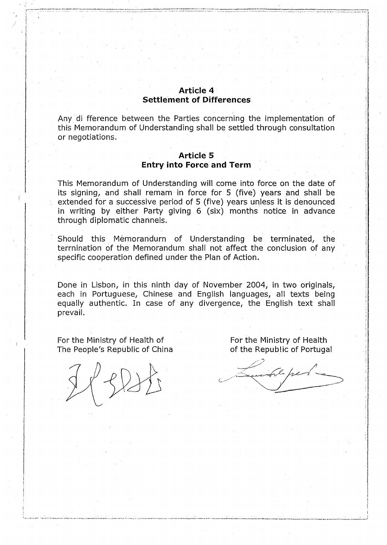# Article 4 **Settlement of Differences**

Any di fference between the Parties concerning the implementation of this Memorandum of Understanding shall be settled through consultation or negotiations.

## **Article 5 Entry into Force and Term**

This Memorandum of Understanding will come into force on the date of its signing, and shall remam in force for 5 (five) years and shall be extended for a successive period of 5 (five) years unless it is denounced in writing by either Party giving 6 (six) months notice in advance through diplomatic channels.

Should this Mémorandurn of Understanding be terminated, the terrnination of the Memorandum shall not affect the conclusion of any specific cooperation defined under the Plan of Action.

Done in Lisbon, in this ninth day of November 2004, in two originals, each in Portuguese, Chinese and English languages, all texts being equally authentic. In case of any divergence, the English text shall prevail.

For the Ministry of Health of The People's Republic of China

For the Ministry of Health of the Republic of Portugal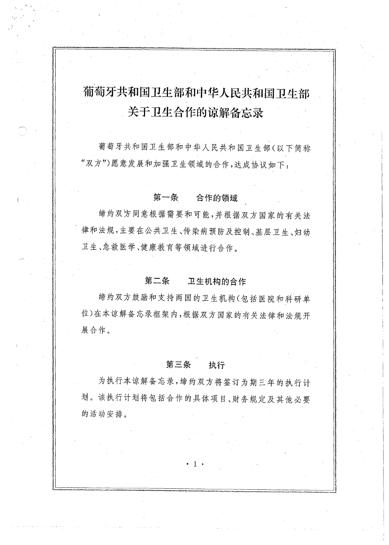# 葡萄牙共和国卫生部和中华人民共和国卫生部 关于卫生合作的谅解备忘录

葡萄牙共和国卫生部和中华人民共和国卫生部(以下简称 "双方")愿意发展和加强卫生领域的合作,达成协议如下:

#### 第一条 合作的领域

缔约双方同意根据需要和可能,并根据双方国家的有关法 律和法规,主要在公共卫生、传染病预防及控制、基层卫生、妇幼 卫生、急救医学、健康教育等领域进行合作。

#### 第二条 卫生机构的合作

缔约双方鼓励和支持两国的卫生机构(包括医院和科研单 位)在本谅解备忘录框架内,根据双方国家的有关法律和法规开 展合作。

#### 第三条 执行

为执行本谅解备忘录,缔约双方将签订为期三年的执行计 划。该执行计划将包括合作的具体项目、财务规定及其他必要 的活动安排。

 $\cdot$  1  $\cdot$